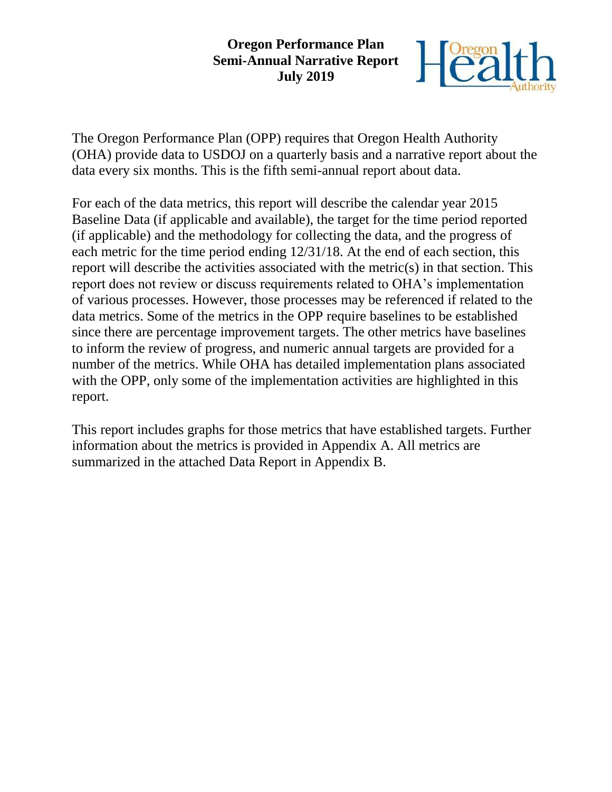#### **Oregon Performance Plan Semi-Annual Narrative Report July 2019**



The Oregon Performance Plan (OPP) requires that Oregon Health Authority (OHA) provide data to USDOJ on a quarterly basis and a narrative report about the data every six months. This is the fifth semi-annual report about data.

For each of the data metrics, this report will describe the calendar year 2015 Baseline Data (if applicable and available), the target for the time period reported (if applicable) and the methodology for collecting the data, and the progress of each metric for the time period ending 12/31/18. At the end of each section, this report will describe the activities associated with the metric(s) in that section. This report does not review or discuss requirements related to OHA's implementation of various processes. However, those processes may be referenced if related to the data metrics. Some of the metrics in the OPP require baselines to be established since there are percentage improvement targets. The other metrics have baselines to inform the review of progress, and numeric annual targets are provided for a number of the metrics. While OHA has detailed implementation plans associated with the OPP, only some of the implementation activities are highlighted in this report.

This report includes graphs for those metrics that have established targets. Further information about the metrics is provided in Appendix A. All metrics are summarized in the attached Data Report in Appendix B.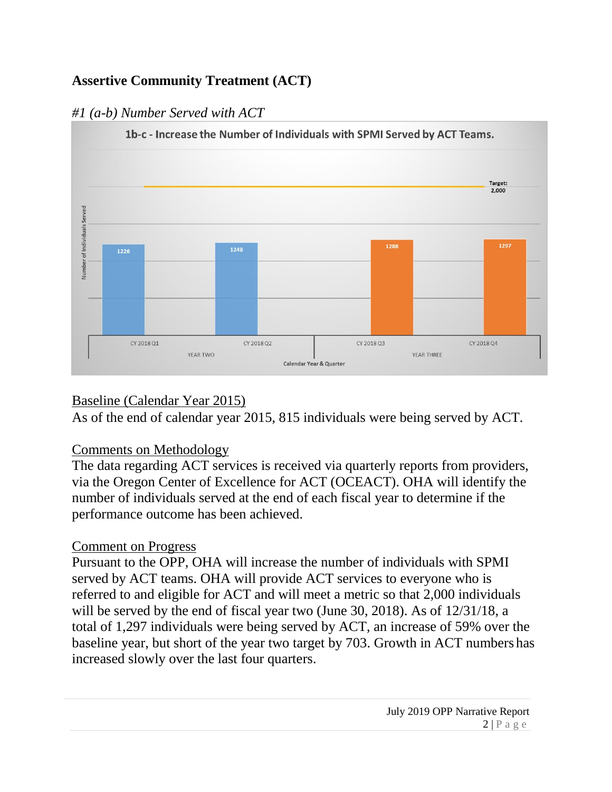# **Assertive Community Treatment (ACT)**

# *#1 (a-b) Number Served with ACT*



# Baseline (Calendar Year 2015)

As of the end of calendar year 2015, 815 individuals were being served by ACT.

# Comments on Methodology

The data regarding ACT services is received via quarterly reports from providers, via the Oregon Center of Excellence for ACT (OCEACT). OHA will identify the number of individuals served at the end of each fiscal year to determine if the performance outcome has been achieved.

# Comment on Progress

Pursuant to the OPP, OHA will increase the number of individuals with SPMI served by ACT teams. OHA will provide ACT services to everyone who is referred to and eligible for ACT and will meet a metric so that 2,000 individuals will be served by the end of fiscal year two (June 30, 2018). As of 12/31/18, a total of 1,297 individuals were being served by ACT, an increase of 59% over the baseline year, but short of the year two target by 703. Growth in ACT numbers has increased slowly over the last four quarters.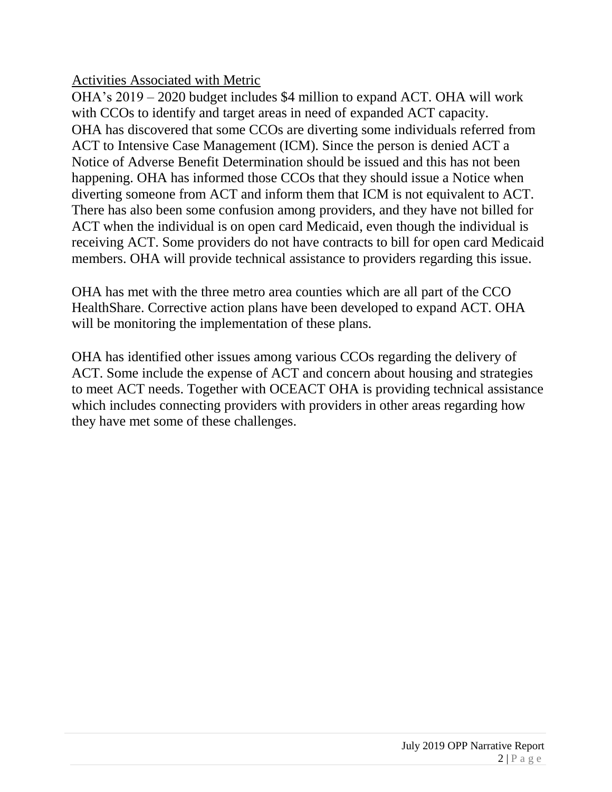Activities Associated with Metric

OHA's 2019 – 2020 budget includes \$4 million to expand ACT. OHA will work with CCOs to identify and target areas in need of expanded ACT capacity. OHA has discovered that some CCOs are diverting some individuals referred from ACT to Intensive Case Management (ICM). Since the person is denied ACT a Notice of Adverse Benefit Determination should be issued and this has not been happening. OHA has informed those CCOs that they should issue a Notice when diverting someone from ACT and inform them that ICM is not equivalent to ACT. There has also been some confusion among providers, and they have not billed for ACT when the individual is on open card Medicaid, even though the individual is receiving ACT. Some providers do not have contracts to bill for open card Medicaid members. OHA will provide technical assistance to providers regarding this issue.

OHA has met with the three metro area counties which are all part of the CCO HealthShare. Corrective action plans have been developed to expand ACT. OHA will be monitoring the implementation of these plans.

OHA has identified other issues among various CCOs regarding the delivery of ACT. Some include the expense of ACT and concern about housing and strategies to meet ACT needs. Together with OCEACT OHA is providing technical assistance which includes connecting providers with providers in other areas regarding how they have met some of these challenges.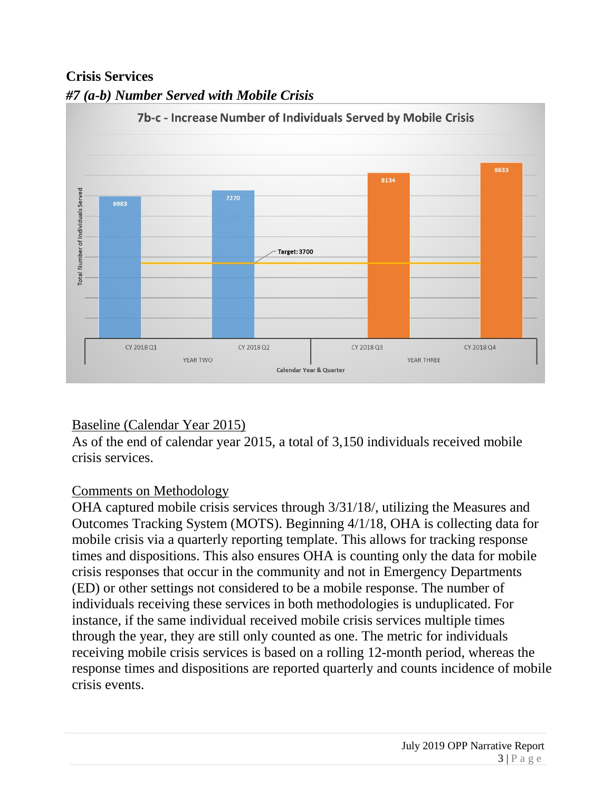# **Crisis Services**



## *#7 (a-b) Number Served with Mobile Crisis*

# Baseline (Calendar Year 2015)

As of the end of calendar year 2015, a total of 3,150 individuals received mobile crisis services.

# Comments on Methodology

OHA captured mobile crisis services through 3/31/18/, utilizing the Measures and Outcomes Tracking System (MOTS). Beginning 4/1/18, OHA is collecting data for mobile crisis via a quarterly reporting template. This allows for tracking response times and dispositions. This also ensures OHA is counting only the data for mobile crisis responses that occur in the community and not in Emergency Departments (ED) or other settings not considered to be a mobile response. The number of individuals receiving these services in both methodologies is unduplicated. For instance, if the same individual received mobile crisis services multiple times through the year, they are still only counted as one. The metric for individuals receiving mobile crisis services is based on a rolling 12-month period, whereas the response times and dispositions are reported quarterly and counts incidence of mobile crisis events.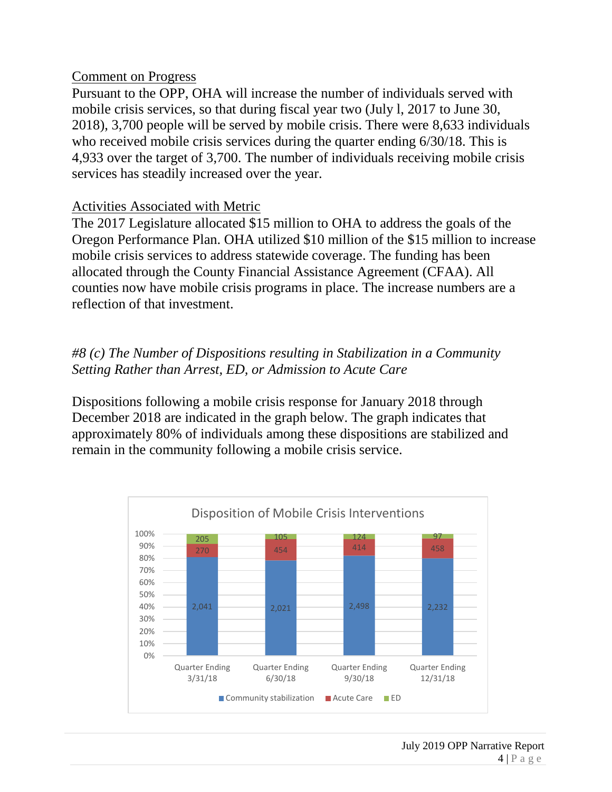#### Comment on Progress

Pursuant to the OPP, OHA will increase the number of individuals served with mobile crisis services, so that during fiscal year two (July l, 2017 to June 30, 2018), 3,700 people will be served by mobile crisis. There were 8,633 individuals who received mobile crisis services during the quarter ending 6/30/18. This is 4,933 over the target of 3,700. The number of individuals receiving mobile crisis services has steadily increased over the year.

#### Activities Associated with Metric

The 2017 Legislature allocated \$15 million to OHA to address the goals of the Oregon Performance Plan. OHA utilized \$10 million of the \$15 million to increase mobile crisis services to address statewide coverage. The funding has been allocated through the County Financial Assistance Agreement (CFAA). All counties now have mobile crisis programs in place. The increase numbers are a reflection of that investment.

#### *#8 (c) The Number of Dispositions resulting in Stabilization in a Community Setting Rather than Arrest, ED, or Admission to Acute Care*

Dispositions following a mobile crisis response for January 2018 through December 2018 are indicated in the graph below. The graph indicates that approximately 80% of individuals among these dispositions are stabilized and remain in the community following a mobile crisis service.

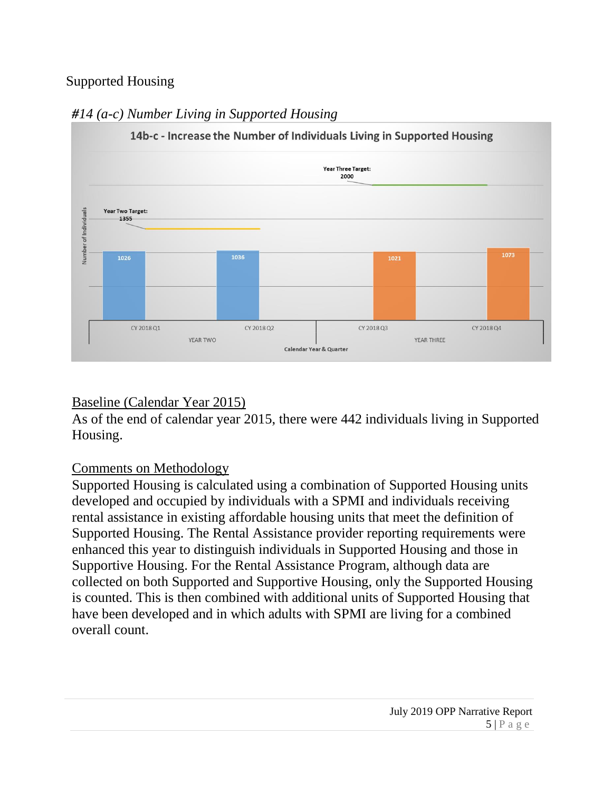# Supported Housing



# *#14 (a-c) Number Living in Supported Housing*

# Baseline (Calendar Year 2015)

As of the end of calendar year 2015, there were 442 individuals living in Supported Housing.

# Comments on Methodology

Supported Housing is calculated using a combination of Supported Housing units developed and occupied by individuals with a SPMI and individuals receiving rental assistance in existing affordable housing units that meet the definition of Supported Housing. The Rental Assistance provider reporting requirements were enhanced this year to distinguish individuals in Supported Housing and those in Supportive Housing. For the Rental Assistance Program, although data are collected on both Supported and Supportive Housing, only the Supported Housing is counted. This is then combined with additional units of Supported Housing that have been developed and in which adults with SPMI are living for a combined overall count.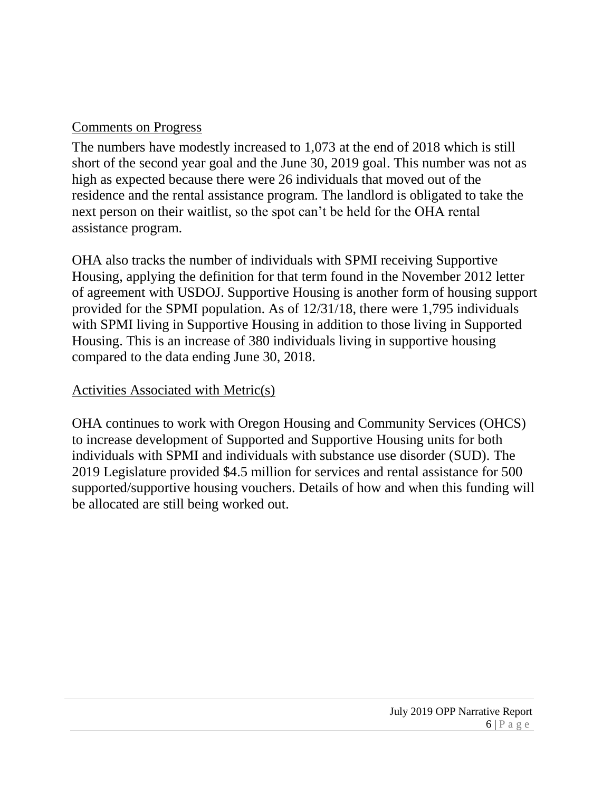# Comments on Progress

The numbers have modestly increased to 1,073 at the end of 2018 which is still short of the second year goal and the June 30, 2019 goal. This number was not as high as expected because there were 26 individuals that moved out of the residence and the rental assistance program. The landlord is obligated to take the next person on their waitlist, so the spot can't be held for the OHA rental assistance program.

OHA also tracks the number of individuals with SPMI receiving Supportive Housing, applying the definition for that term found in the November 2012 letter of agreement with USDOJ. Supportive Housing is another form of housing support provided for the SPMI population. As of 12/31/18, there were 1,795 individuals with SPMI living in Supportive Housing in addition to those living in Supported Housing. This is an increase of 380 individuals living in supportive housing compared to the data ending June 30, 2018.

#### Activities Associated with Metric(s)

OHA continues to work with Oregon Housing and Community Services (OHCS) to increase development of Supported and Supportive Housing units for both individuals with SPMI and individuals with substance use disorder (SUD). The 2019 Legislature provided \$4.5 million for services and rental assistance for 500 supported/supportive housing vouchers. Details of how and when this funding will be allocated are still being worked out.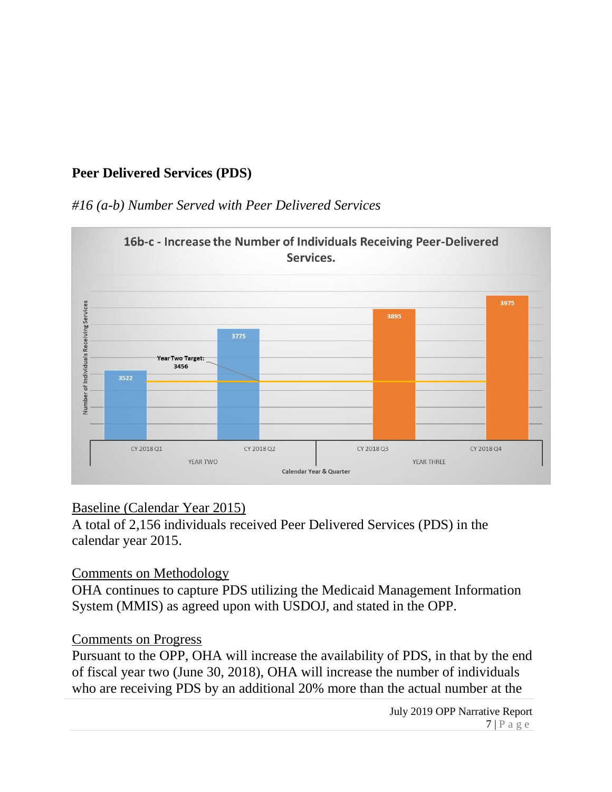# **Peer Delivered Services (PDS)**

# *#16 (a-b) Number Served with Peer Delivered Services*



# Baseline (Calendar Year 2015)

A total of 2,156 individuals received Peer Delivered Services (PDS) in the calendar year 2015.

Comments on Methodology

OHA continues to capture PDS utilizing the Medicaid Management Information System (MMIS) as agreed upon with USDOJ, and stated in the OPP.

# Comments on Progress

Pursuant to the OPP, OHA will increase the availability of PDS, in that by the end of fiscal year two (June 30, 2018), OHA will increase the number of individuals who are receiving PDS by an additional 20% more than the actual number at the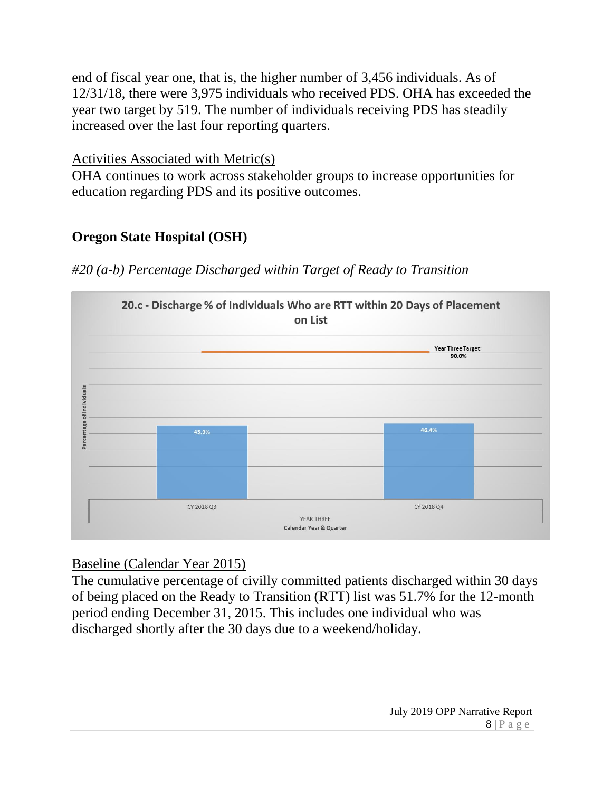end of fiscal year one, that is, the higher number of 3,456 individuals. As of 12/31/18, there were 3,975 individuals who received PDS. OHA has exceeded the year two target by 519. The number of individuals receiving PDS has steadily increased over the last four reporting quarters.

#### Activities Associated with Metric(s)

OHA continues to work across stakeholder groups to increase opportunities for education regarding PDS and its positive outcomes.

## **Oregon State Hospital (OSH)**

*#20 (a-b) Percentage Discharged within Target of Ready to Transition*



#### Baseline (Calendar Year 2015)

The cumulative percentage of civilly committed patients discharged within 30 days of being placed on the Ready to Transition (RTT) list was 51.7% for the 12-month period ending December 31, 2015. This includes one individual who was discharged shortly after the 30 days due to a weekend/holiday.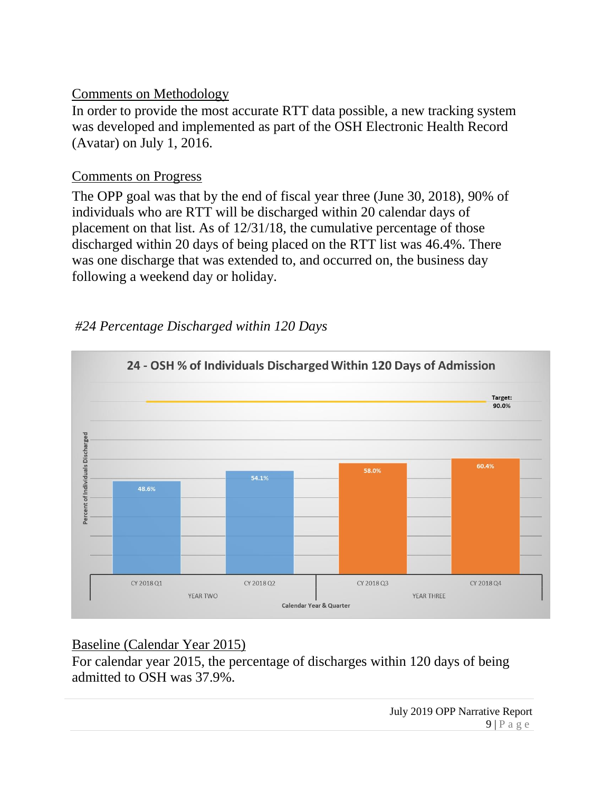## Comments on Methodology

In order to provide the most accurate RTT data possible, a new tracking system was developed and implemented as part of the OSH Electronic Health Record (Avatar) on July 1, 2016.

### Comments on Progress

The OPP goal was that by the end of fiscal year three (June 30, 2018), 90% of individuals who are RTT will be discharged within 20 calendar days of placement on that list. As of 12/31/18, the cumulative percentage of those discharged within 20 days of being placed on the RTT list was 46.4%. There was one discharge that was extended to, and occurred on, the business day following a weekend day or holiday.

# *#24 Percentage Discharged within 120 Days*



# Baseline (Calendar Year 2015)

For calendar year 2015, the percentage of discharges within 120 days of being admitted to OSH was 37.9%.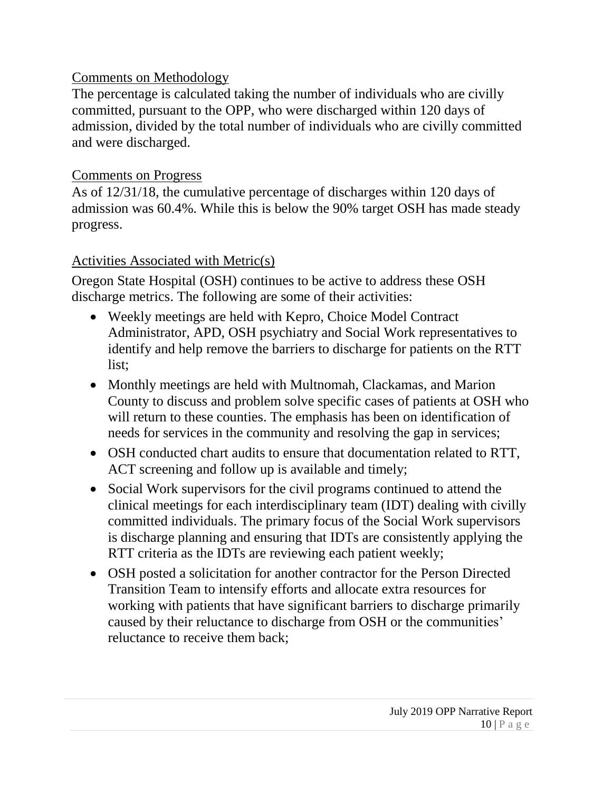## Comments on Methodology

The percentage is calculated taking the number of individuals who are civilly committed, pursuant to the OPP, who were discharged within 120 days of admission, divided by the total number of individuals who are civilly committed and were discharged.

## Comments on Progress

As of 12/31/18, the cumulative percentage of discharges within 120 days of admission was 60.4%. While this is below the 90% target OSH has made steady progress.

# Activities Associated with Metric(s)

Oregon State Hospital (OSH) continues to be active to address these OSH discharge metrics. The following are some of their activities:

- Weekly meetings are held with Kepro, Choice Model Contract Administrator, APD, OSH psychiatry and Social Work representatives to identify and help remove the barriers to discharge for patients on the RTT list;
- Monthly meetings are held with Multnomah, Clackamas, and Marion County to discuss and problem solve specific cases of patients at OSH who will return to these counties. The emphasis has been on identification of needs for services in the community and resolving the gap in services;
- OSH conducted chart audits to ensure that documentation related to RTT, ACT screening and follow up is available and timely;
- Social Work supervisors for the civil programs continued to attend the clinical meetings for each interdisciplinary team (IDT) dealing with civilly committed individuals. The primary focus of the Social Work supervisors is discharge planning and ensuring that IDTs are consistently applying the RTT criteria as the IDTs are reviewing each patient weekly;
- OSH posted a solicitation for another contractor for the Person Directed Transition Team to intensify efforts and allocate extra resources for working with patients that have significant barriers to discharge primarily caused by their reluctance to discharge from OSH or the communities' reluctance to receive them back;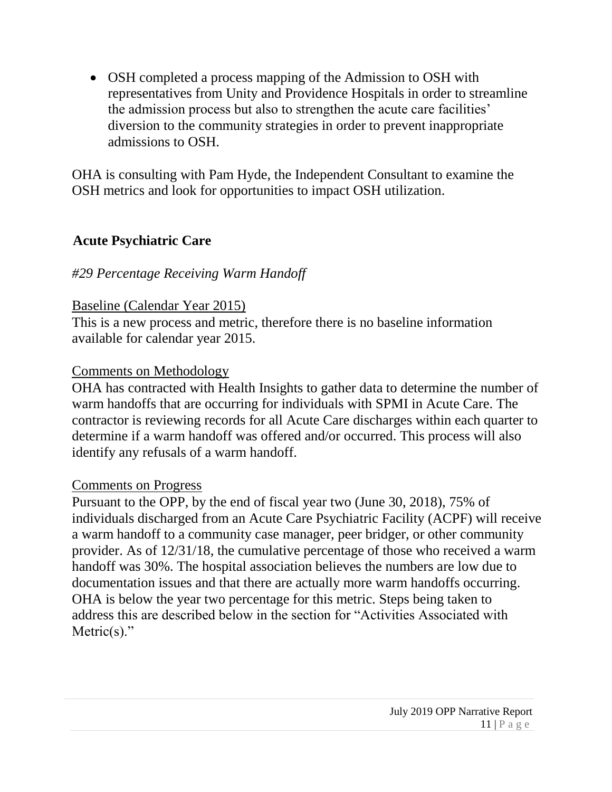• OSH completed a process mapping of the Admission to OSH with representatives from Unity and Providence Hospitals in order to streamline the admission process but also to strengthen the acute care facilities' diversion to the community strategies in order to prevent inappropriate admissions to OSH.

OHA is consulting with Pam Hyde, the Independent Consultant to examine the OSH metrics and look for opportunities to impact OSH utilization.

#### **Acute Psychiatric Care**

#### *#29 Percentage Receiving Warm Handoff*

#### Baseline (Calendar Year 2015)

This is a new process and metric, therefore there is no baseline information available for calendar year 2015.

#### Comments on Methodology

OHA has contracted with Health Insights to gather data to determine the number of warm handoffs that are occurring for individuals with SPMI in Acute Care. The contractor is reviewing records for all Acute Care discharges within each quarter to determine if a warm handoff was offered and/or occurred. This process will also identify any refusals of a warm handoff.

#### Comments on Progress

Pursuant to the OPP, by the end of fiscal year two (June 30, 2018), 75% of individuals discharged from an Acute Care Psychiatric Facility (ACPF) will receive a warm handoff to a community case manager, peer bridger, or other community provider. As of 12/31/18, the cumulative percentage of those who received a warm handoff was 30%. The hospital association believes the numbers are low due to documentation issues and that there are actually more warm handoffs occurring. OHA is below the year two percentage for this metric. Steps being taken to address this are described below in the section for "Activities Associated with Metric $(s)$ ."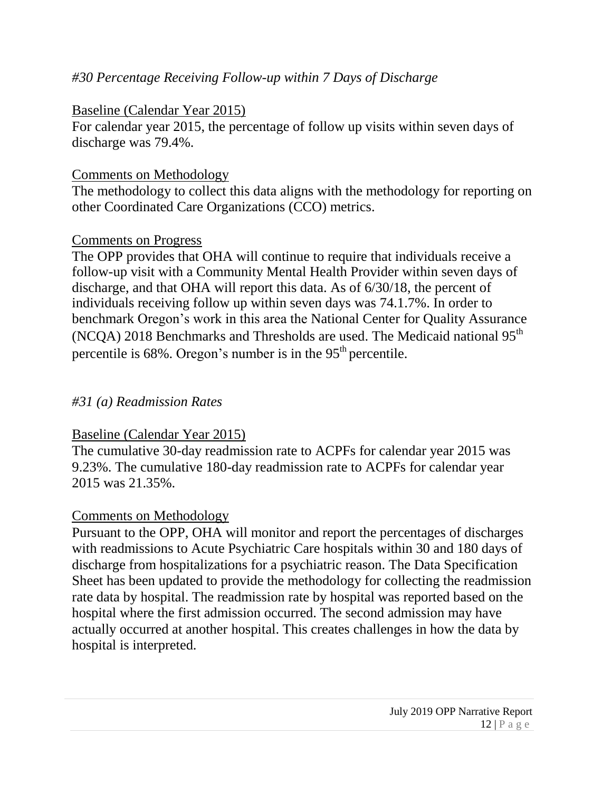## *#30 Percentage Receiving Follow-up within 7 Days of Discharge*

#### Baseline (Calendar Year 2015)

For calendar year 2015, the percentage of follow up visits within seven days of discharge was 79.4%.

#### Comments on Methodology

The methodology to collect this data aligns with the methodology for reporting on other Coordinated Care Organizations (CCO) metrics.

#### Comments on Progress

The OPP provides that OHA will continue to require that individuals receive a follow-up visit with a Community Mental Health Provider within seven days of discharge, and that OHA will report this data. As of 6/30/18, the percent of individuals receiving follow up within seven days was 74.1.7%. In order to benchmark Oregon's work in this area the National Center for Quality Assurance (NCQA) 2018 Benchmarks and Thresholds are used. The Medicaid national  $95<sup>th</sup>$ percentile is  $68\%$ . Oregon's number is in the  $95<sup>th</sup>$  percentile.

#### *#31 (a) Readmission Rates*

#### Baseline (Calendar Year 2015)

The cumulative 30-day readmission rate to ACPFs for calendar year 2015 was 9.23%. The cumulative 180-day readmission rate to ACPFs for calendar year 2015 was 21.35%.

#### Comments on Methodology

Pursuant to the OPP, OHA will monitor and report the percentages of discharges with readmissions to Acute Psychiatric Care hospitals within 30 and 180 days of discharge from hospitalizations for a psychiatric reason. The Data Specification Sheet has been updated to provide the methodology for collecting the readmission rate data by hospital. The readmission rate by hospital was reported based on the hospital where the first admission occurred. The second admission may have actually occurred at another hospital. This creates challenges in how the data by hospital is interpreted.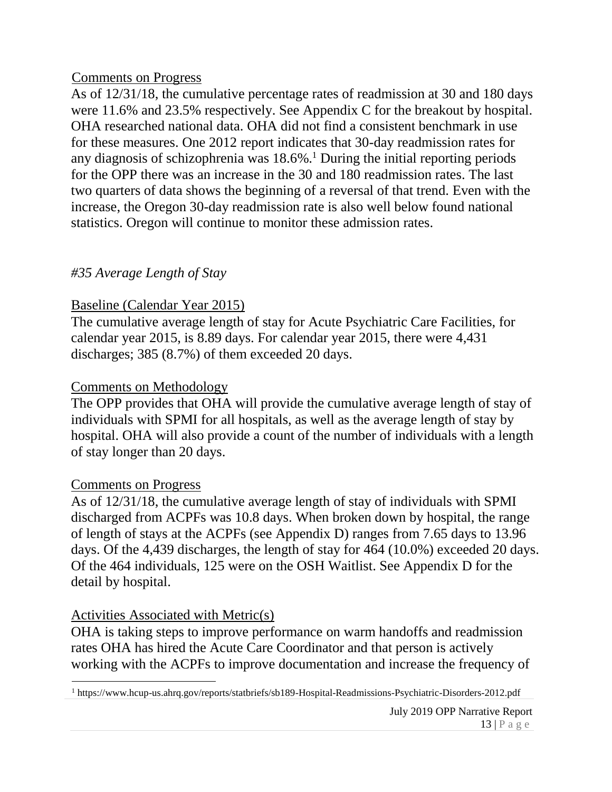#### Comments on Progress

As of 12/31/18, the cumulative percentage rates of readmission at 30 and 180 days were 11.6% and 23.5% respectively. See Appendix C for the breakout by hospital. OHA researched national data. OHA did not find a consistent benchmark in use for these measures. One 2012 report indicates that 30-day readmission rates for any diagnosis of schizophrenia was 18.6%. <sup>1</sup> During the initial reporting periods for the OPP there was an increase in the 30 and 180 readmission rates. The last two quarters of data shows the beginning of a reversal of that trend. Even with the increase, the Oregon 30-day readmission rate is also well below found national statistics. Oregon will continue to monitor these admission rates.

## *#35 Average Length of Stay*

## Baseline (Calendar Year 2015)

The cumulative average length of stay for Acute Psychiatric Care Facilities, for calendar year 2015, is 8.89 days. For calendar year 2015, there were 4,431 discharges; 385 (8.7%) of them exceeded 20 days.

#### Comments on Methodology

The OPP provides that OHA will provide the cumulative average length of stay of individuals with SPMI for all hospitals, as well as the average length of stay by hospital. OHA will also provide a count of the number of individuals with a length of stay longer than 20 days.

#### Comments on Progress

As of 12/31/18, the cumulative average length of stay of individuals with SPMI discharged from ACPFs was 10.8 days. When broken down by hospital, the range of length of stays at the ACPFs (see Appendix D) ranges from 7.65 days to 13.96 days. Of the 4,439 discharges, the length of stay for 464 (10.0%) exceeded 20 days. Of the 464 individuals, 125 were on the OSH Waitlist. See Appendix D for the detail by hospital.

# Activities Associated with Metric(s)

OHA is taking steps to improve performance on warm handoffs and readmission rates OHA has hired the Acute Care Coordinator and that person is actively working with the ACPFs to improve documentation and increase the frequency of

l <sup>1</sup> https://www.hcup-us.ahrq.gov/reports/statbriefs/sb189-Hospital-Readmissions-Psychiatric-Disorders-2012.pdf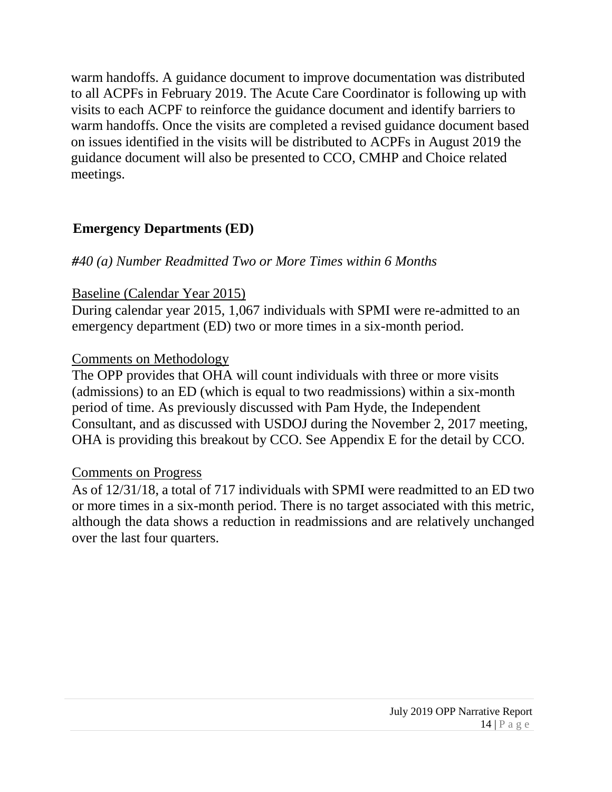warm handoffs. A guidance document to improve documentation was distributed to all ACPFs in February 2019. The Acute Care Coordinator is following up with visits to each ACPF to reinforce the guidance document and identify barriers to warm handoffs. Once the visits are completed a revised guidance document based on issues identified in the visits will be distributed to ACPFs in August 2019 the guidance document will also be presented to CCO, CMHP and Choice related meetings.

#### **Emergency Departments (ED)**

#### *#40 (a) Number Readmitted Two or More Times within 6 Months*

#### Baseline (Calendar Year 2015)

During calendar year 2015, 1,067 individuals with SPMI were re-admitted to an emergency department (ED) two or more times in a six-month period.

#### Comments on Methodology

The OPP provides that OHA will count individuals with three or more visits (admissions) to an ED (which is equal to two readmissions) within a six-month period of time. As previously discussed with Pam Hyde, the Independent Consultant, and as discussed with USDOJ during the November 2, 2017 meeting, OHA is providing this breakout by CCO. See Appendix E for the detail by CCO.

#### Comments on Progress

As of 12/31/18, a total of 717 individuals with SPMI were readmitted to an ED two or more times in a six-month period. There is no target associated with this metric, although the data shows a reduction in readmissions and are relatively unchanged over the last four quarters.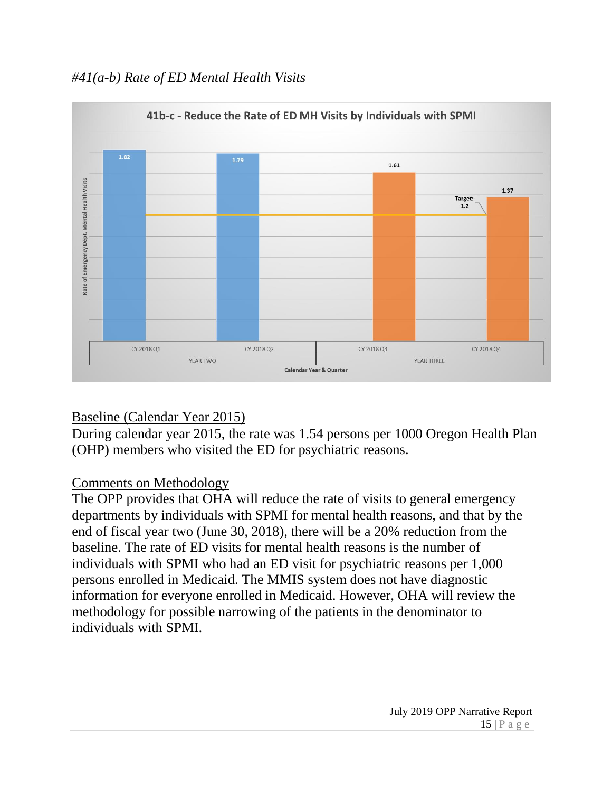# *#41(a-b) Rate of ED Mental Health Visits*



# Baseline (Calendar Year 2015)

During calendar year 2015, the rate was 1.54 persons per 1000 Oregon Health Plan (OHP) members who visited the ED for psychiatric reasons.

#### Comments on Methodology

The OPP provides that OHA will reduce the rate of visits to general emergency departments by individuals with SPMI for mental health reasons, and that by the end of fiscal year two (June 30, 2018), there will be a 20% reduction from the baseline. The rate of ED visits for mental health reasons is the number of individuals with SPMI who had an ED visit for psychiatric reasons per 1,000 persons enrolled in Medicaid. The MMIS system does not have diagnostic information for everyone enrolled in Medicaid. However, OHA will review the methodology for possible narrowing of the patients in the denominator to individuals with SPMI.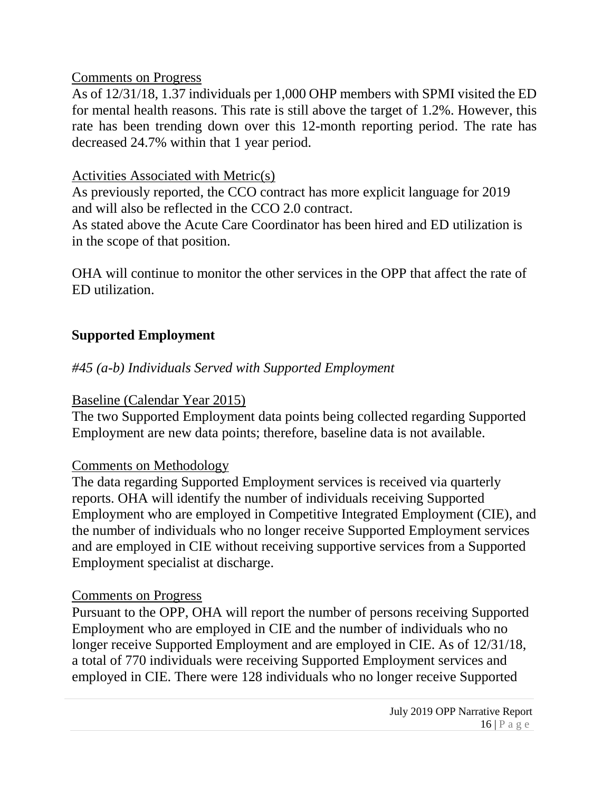#### Comments on Progress

As of 12/31/18, 1.37 individuals per 1,000 OHP members with SPMI visited the ED for mental health reasons. This rate is still above the target of 1.2%. However, this rate has been trending down over this 12-month reporting period. The rate has decreased 24.7% within that 1 year period.

# Activities Associated with Metric(s)

As previously reported, the CCO contract has more explicit language for 2019 and will also be reflected in the CCO 2.0 contract.

As stated above the Acute Care Coordinator has been hired and ED utilization is in the scope of that position.

OHA will continue to monitor the other services in the OPP that affect the rate of ED utilization.

# **Supported Employment**

# *#45 (a-b) Individuals Served with Supported Employment*

# Baseline (Calendar Year 2015)

The two Supported Employment data points being collected regarding Supported Employment are new data points; therefore, baseline data is not available.

# Comments on Methodology

The data regarding Supported Employment services is received via quarterly reports. OHA will identify the number of individuals receiving Supported Employment who are employed in Competitive Integrated Employment (CIE), and the number of individuals who no longer receive Supported Employment services and are employed in CIE without receiving supportive services from a Supported Employment specialist at discharge.

#### Comments on Progress

Pursuant to the OPP, OHA will report the number of persons receiving Supported Employment who are employed in CIE and the number of individuals who no longer receive Supported Employment and are employed in CIE. As of 12/31/18, a total of 770 individuals were receiving Supported Employment services and employed in CIE. There were 128 individuals who no longer receive Supported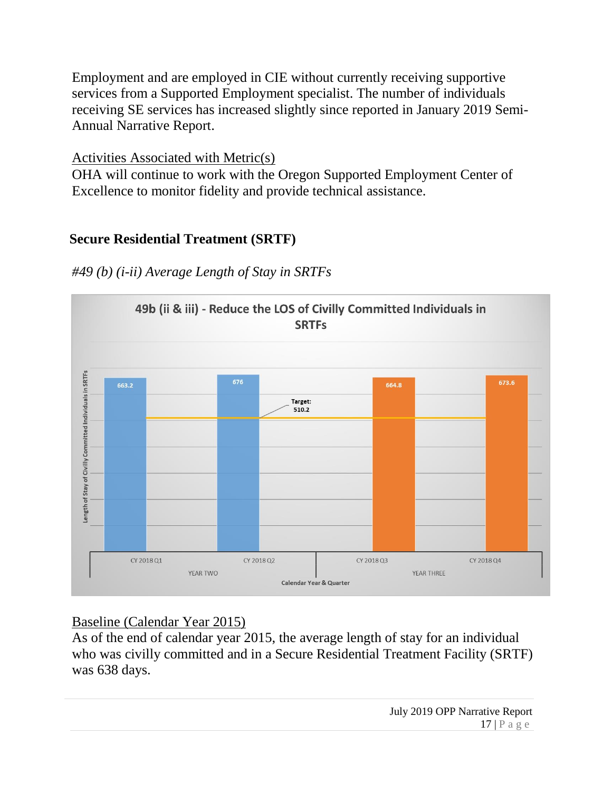Employment and are employed in CIE without currently receiving supportive services from a Supported Employment specialist. The number of individuals receiving SE services has increased slightly since reported in January 2019 Semi-Annual Narrative Report.

#### Activities Associated with Metric(s)

OHA will continue to work with the Oregon Supported Employment Center of Excellence to monitor fidelity and provide technical assistance.

#### **Secure Residential Treatment (SRTF)**



*#49 (b) (i-ii) Average Length of Stay in SRTFs*

# Baseline (Calendar Year 2015)

As of the end of calendar year 2015, the average length of stay for an individual who was civilly committed and in a Secure Residential Treatment Facility (SRTF) was 638 days.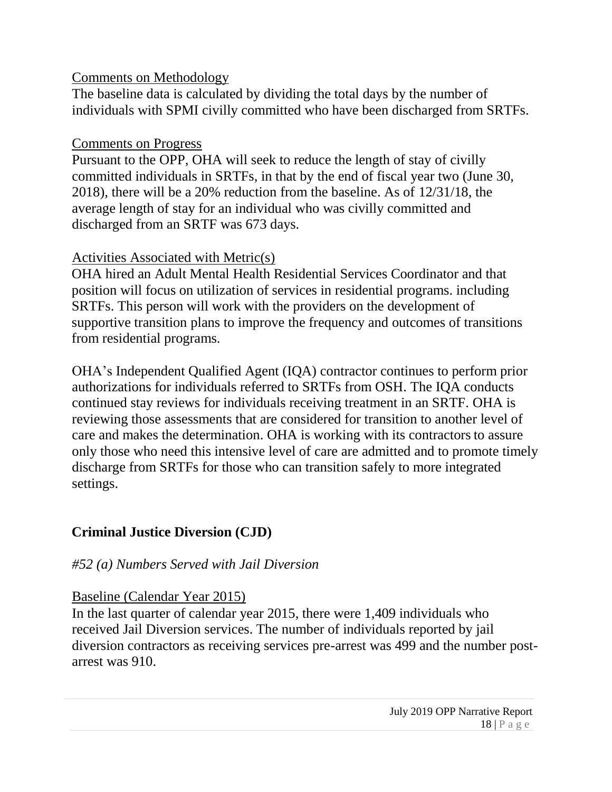## Comments on Methodology

The baseline data is calculated by dividing the total days by the number of individuals with SPMI civilly committed who have been discharged from SRTFs.

# Comments on Progress

Pursuant to the OPP, OHA will seek to reduce the length of stay of civilly committed individuals in SRTFs, in that by the end of fiscal year two (June 30, 2018), there will be a 20% reduction from the baseline. As of 12/31/18, the average length of stay for an individual who was civilly committed and discharged from an SRTF was 673 days.

# Activities Associated with Metric(s)

OHA hired an Adult Mental Health Residential Services Coordinator and that position will focus on utilization of services in residential programs. including SRTFs. This person will work with the providers on the development of supportive transition plans to improve the frequency and outcomes of transitions from residential programs.

OHA's Independent Qualified Agent (IQA) contractor continues to perform prior authorizations for individuals referred to SRTFs from OSH. The IQA conducts continued stay reviews for individuals receiving treatment in an SRTF. OHA is reviewing those assessments that are considered for transition to another level of care and makes the determination. OHA is working with its contractors to assure only those who need this intensive level of care are admitted and to promote timely discharge from SRTFs for those who can transition safely to more integrated settings.

# **Criminal Justice Diversion (CJD)**

# *#52 (a) Numbers Served with Jail Diversion*

# Baseline (Calendar Year 2015)

In the last quarter of calendar year 2015, there were 1,409 individuals who received Jail Diversion services. The number of individuals reported by jail diversion contractors as receiving services pre-arrest was 499 and the number postarrest was 910.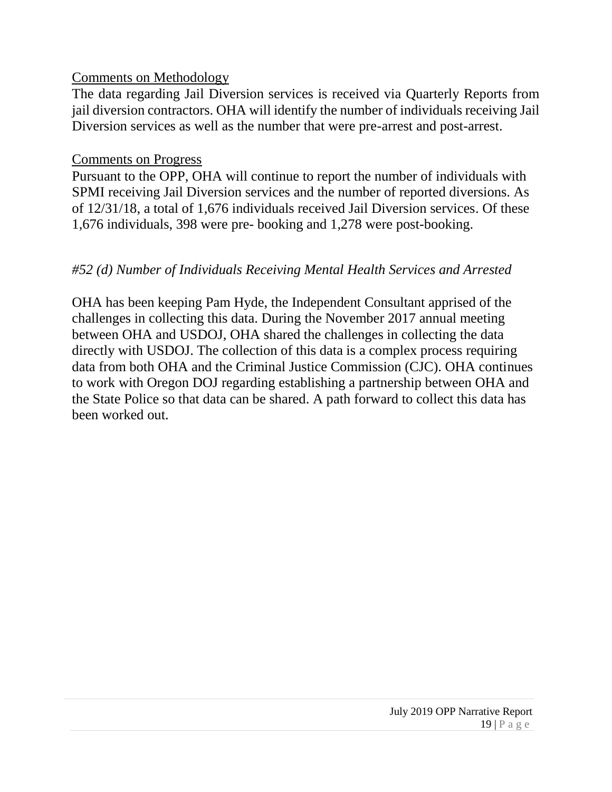#### Comments on Methodology

The data regarding Jail Diversion services is received via Quarterly Reports from jail diversion contractors. OHA will identify the number of individuals receiving Jail Diversion services as well as the number that were pre-arrest and post-arrest.

#### Comments on Progress

Pursuant to the OPP, OHA will continue to report the number of individuals with SPMI receiving Jail Diversion services and the number of reported diversions. As of 12/31/18, a total of 1,676 individuals received Jail Diversion services. Of these 1,676 individuals, 398 were pre- booking and 1,278 were post-booking.

## *#52 (d) Number of Individuals Receiving Mental Health Services and Arrested*

OHA has been keeping Pam Hyde, the Independent Consultant apprised of the challenges in collecting this data. During the November 2017 annual meeting between OHA and USDOJ, OHA shared the challenges in collecting the data directly with USDOJ. The collection of this data is a complex process requiring data from both OHA and the Criminal Justice Commission (CJC). OHA continues to work with Oregon DOJ regarding establishing a partnership between OHA and the State Police so that data can be shared. A path forward to collect this data has been worked out.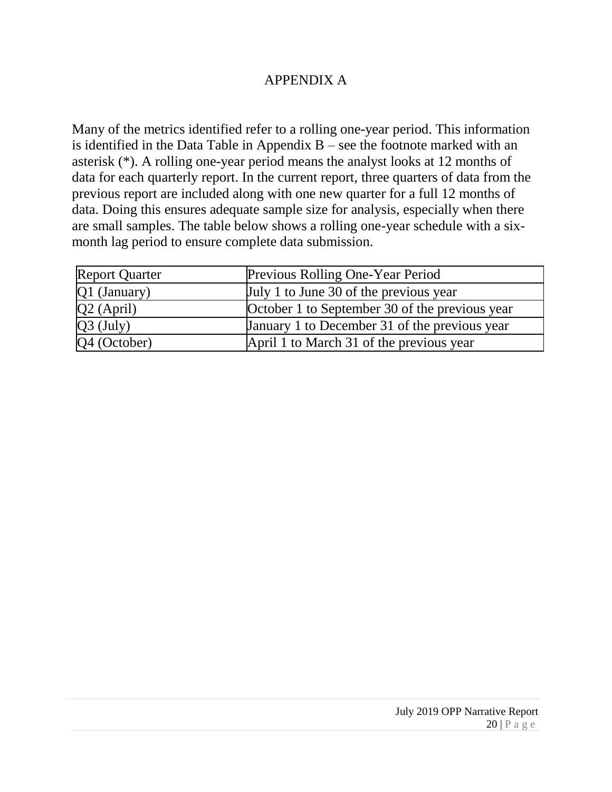#### APPENDIX A

Many of the metrics identified refer to a rolling one-year period. This information is identified in the Data Table in Appendix  $B$  – see the footnote marked with an asterisk (\*). A rolling one-year period means the analyst looks at 12 months of data for each quarterly report. In the current report, three quarters of data from the previous report are included along with one new quarter for a full 12 months of data. Doing this ensures adequate sample size for analysis, especially when there are small samples. The table below shows a rolling one-year schedule with a sixmonth lag period to ensure complete data submission.

| <b>Report Quarter</b> | Previous Rolling One-Year Period               |
|-----------------------|------------------------------------------------|
| Q1 (January)          | July 1 to June 30 of the previous year         |
| $Q2$ (April)          | October 1 to September 30 of the previous year |
| $Q3$ (July)           | January 1 to December 31 of the previous year  |
| Q4 (October)          | April 1 to March 31 of the previous year       |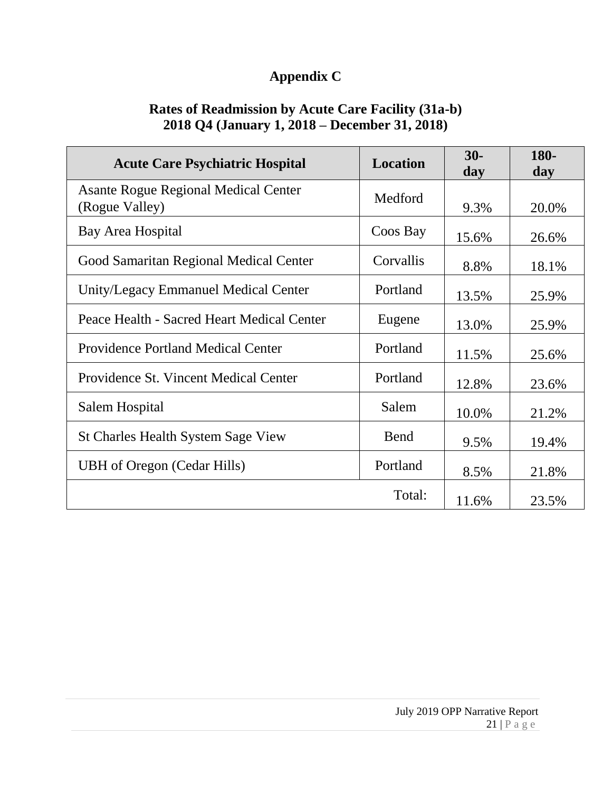# **Appendix C**

### **Rates of Readmission by Acute Care Facility (31a-b) 2018 Q4 (January 1, 2018 – December 31, 2018)**

| <b>Acute Care Psychiatric Hospital</b>                        | <b>Location</b> | $30-$<br>day | 180-<br>day |
|---------------------------------------------------------------|-----------------|--------------|-------------|
| <b>Asante Rogue Regional Medical Center</b><br>(Rogue Valley) | Medford         | 9.3%         | 20.0%       |
| Bay Area Hospital                                             | Coos Bay        | 15.6%        | 26.6%       |
| Good Samaritan Regional Medical Center                        | Corvallis       | 8.8%         | 18.1%       |
| Unity/Legacy Emmanuel Medical Center                          | Portland        | 13.5%        | 25.9%       |
| Peace Health - Sacred Heart Medical Center                    | Eugene          | 13.0%        | 25.9%       |
| <b>Providence Portland Medical Center</b>                     | Portland        | 11.5%        | 25.6%       |
| Providence St. Vincent Medical Center                         | Portland        | 12.8%        | 23.6%       |
| Salem Hospital                                                | Salem           | 10.0%        | 21.2%       |
| <b>St Charles Health System Sage View</b>                     | <b>Bend</b>     | 9.5%         | 19.4%       |
| <b>UBH</b> of Oregon (Cedar Hills)                            | Portland        | 8.5%         | 21.8%       |
|                                                               | Total:          | 11.6%        | 23.5%       |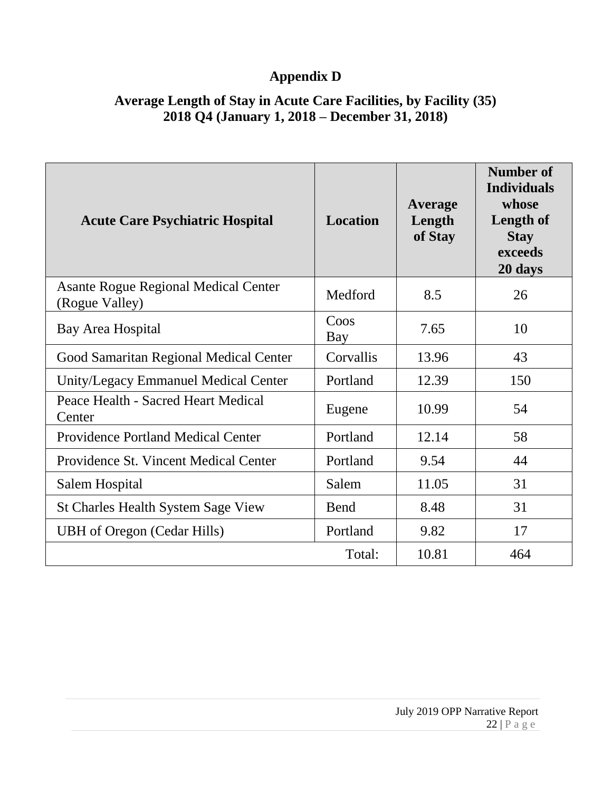# **Appendix D**

# **Average Length of Stay in Acute Care Facilities, by Facility (35) 2018 Q4 (January 1, 2018 – December 31, 2018)**

| <b>Acute Care Psychiatric Hospital</b>                        | <b>Location</b> | Average<br>Length<br>of Stay | Number of<br><b>Individuals</b><br>whose<br>Length of<br><b>Stay</b><br>exceeds<br>20 days |
|---------------------------------------------------------------|-----------------|------------------------------|--------------------------------------------------------------------------------------------|
| <b>Asante Rogue Regional Medical Center</b><br>(Rogue Valley) | Medford         | 8.5                          | 26                                                                                         |
| Bay Area Hospital                                             | Coos<br>Bay     | 7.65                         | 10                                                                                         |
| Good Samaritan Regional Medical Center                        | Corvallis       | 13.96                        | 43                                                                                         |
| Unity/Legacy Emmanuel Medical Center                          | Portland        | 12.39                        | 150                                                                                        |
| Peace Health - Sacred Heart Medical<br>Center                 | Eugene          | 10.99                        | 54                                                                                         |
| <b>Providence Portland Medical Center</b>                     | Portland        | 12.14                        | 58                                                                                         |
| Providence St. Vincent Medical Center                         | Portland        | 9.54                         | 44                                                                                         |
| Salem Hospital                                                | Salem           | 11.05                        | 31                                                                                         |
| <b>St Charles Health System Sage View</b>                     | Bend            | 8.48                         | 31                                                                                         |
| <b>UBH</b> of Oregon (Cedar Hills)                            | Portland        | 9.82                         | 17                                                                                         |
|                                                               | Total:          | 10.81                        | 464                                                                                        |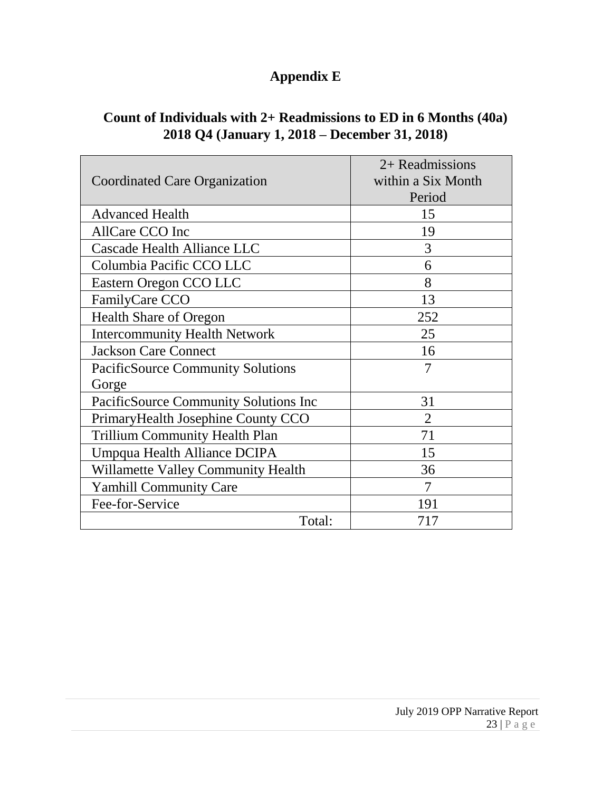# **Appendix E**

|                                          | 2+ Readmissions    |
|------------------------------------------|--------------------|
| Coordinated Care Organization            | within a Six Month |
|                                          | Period             |
| <b>Advanced Health</b>                   | 15                 |
| AllCare CCO Inc                          | 19                 |
| Cascade Health Alliance LLC              | 3                  |
| Columbia Pacific CCO LLC                 | 6                  |
| Eastern Oregon CCO LLC                   | 8                  |
| FamilyCare CCO                           | 13                 |
| <b>Health Share of Oregon</b>            | 252                |
| <b>Intercommunity Health Network</b>     | 25                 |
| <b>Jackson Care Connect</b>              | 16                 |
| <b>PacificSource Community Solutions</b> | 7                  |
| Gorge                                    |                    |
| PacificSource Community Solutions Inc    | 31                 |
| Primary Health Josephine County CCO      | $\overline{2}$     |
| <b>Trillium Community Health Plan</b>    | 71                 |
| Umpqua Health Alliance DCIPA             | 15                 |
| Willamette Valley Community Health       | 36                 |
| <b>Yamhill Community Care</b>            | 7                  |
| Fee-for-Service                          | 191                |
| Total:                                   | 717                |

# **Count of Individuals with 2+ Readmissions to ED in 6 Months (40a) 2018 Q4 (January 1, 2018 – December 31, 2018)**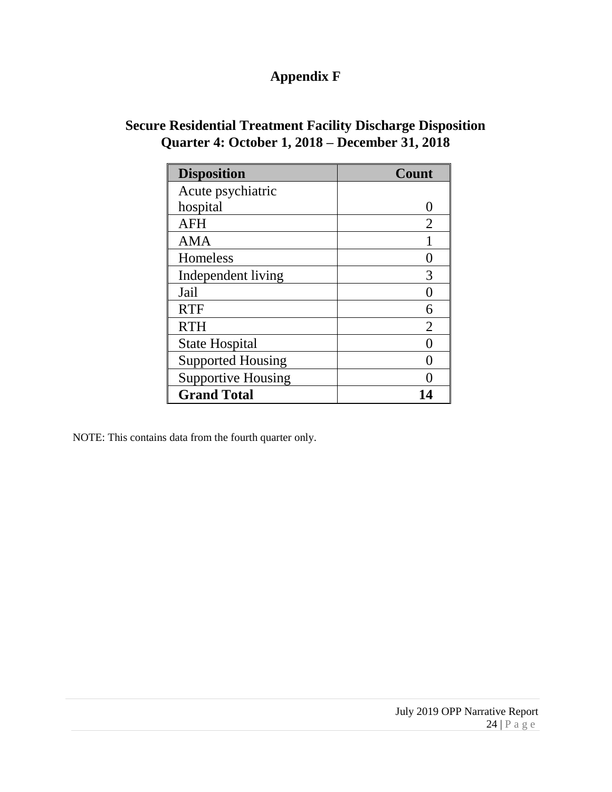# **Appendix F**

#### **Secure Residential Treatment Facility Discharge Disposition Quarter 4: October 1, 2018 – December 31, 2018**

| <b>Disposition</b>        | <b>Count</b> |
|---------------------------|--------------|
| Acute psychiatric         |              |
| hospital                  |              |
| <b>AFH</b>                | 2            |
| <b>AMA</b>                |              |
| Homeless                  |              |
| Independent living        |              |
| Jail                      |              |
| <b>RTF</b>                |              |
| <b>RTH</b>                | 2            |
| <b>State Hospital</b>     |              |
| <b>Supported Housing</b>  |              |
| <b>Supportive Housing</b> |              |
| <b>Grand Total</b>        |              |

NOTE: This contains data from the fourth quarter only.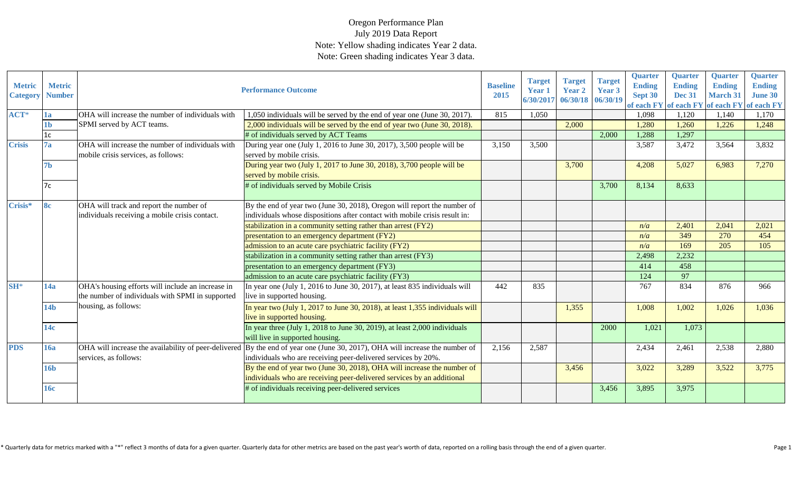| <b>Metric</b><br><b>Category</b> | <b>Metric</b><br><b>Number</b> |                                                                                                       | <b>Performance Outcome</b>                                                                                                                                                                    | <b>Baseline</b><br>2015 | <b>Target</b><br>Year 1<br>6/30/201 | <b>Target</b><br><b>Year 2</b><br>06/30/18 06/30/19 | <b>Target</b><br>Year 3 | <b>Quarter</b><br><b>Ending</b><br>Sept 30<br>of each FY | <b>Quarter</b><br><b>Ending</b><br><b>Dec 31</b><br>of each FY | <b>Quarter</b><br><b>Ending</b><br><b>March 31</b><br>of each FY | <b>Quarter</b><br><b>Ending</b><br><b>June 30</b><br>of each FY |
|----------------------------------|--------------------------------|-------------------------------------------------------------------------------------------------------|-----------------------------------------------------------------------------------------------------------------------------------------------------------------------------------------------|-------------------------|-------------------------------------|-----------------------------------------------------|-------------------------|----------------------------------------------------------|----------------------------------------------------------------|------------------------------------------------------------------|-----------------------------------------------------------------|
| $ACT*$                           | 1a                             | OHA will increase the number of individuals with                                                      | 1,050 individuals will be served by the end of year one (June 30, 2017).                                                                                                                      | 815                     | 1.050                               |                                                     |                         | 1,098                                                    | 1,120                                                          | 1.140                                                            | 1,170                                                           |
|                                  | 1 <sub>b</sub>                 | SPMI served by ACT teams.                                                                             | 2,000 individuals will be served by the end of year two (June 30, 2018).                                                                                                                      |                         |                                     | 2,000                                               |                         | 1,280                                                    | 1,260                                                          | 1,226                                                            | 1,248                                                           |
|                                  | 1c                             |                                                                                                       | # of individuals served by ACT Teams                                                                                                                                                          |                         |                                     |                                                     | 2,000                   | 1,288                                                    | 1,297                                                          |                                                                  |                                                                 |
| <b>Crisis</b>                    | 7a                             | OHA will increase the number of individuals with<br>mobile crisis services, as follows:               | During year one (July 1, 2016 to June 30, 2017), 3,500 people will be<br>served by mobile crisis.                                                                                             | 3,150                   | 3,500                               |                                                     |                         | 3,587                                                    | 3,472                                                          | 3,564                                                            | 3,832                                                           |
|                                  | 7 <sub>b</sub>                 |                                                                                                       | During year two (July 1, 2017 to June 30, 2018), 3,700 people will be<br>served by mobile crisis.                                                                                             |                         |                                     | 3,700                                               |                         | 4,208                                                    | 5,027                                                          | 6,983                                                            | 7,270                                                           |
|                                  | 7c                             |                                                                                                       | # of individuals served by Mobile Crisis                                                                                                                                                      |                         |                                     |                                                     | 3,700                   | 8,134                                                    | 8,633                                                          |                                                                  |                                                                 |
| Crisis*                          | <b>8c</b>                      | OHA will track and report the number of<br>individuals receiving a mobile crisis contact.             | By the end of year two (June 30, 2018), Oregon will report the number of<br>individuals whose dispositions after contact with mobile crisis result in:                                        |                         |                                     |                                                     |                         |                                                          |                                                                |                                                                  |                                                                 |
|                                  |                                |                                                                                                       | stabilization in a community setting rather than arrest (FY2)                                                                                                                                 |                         |                                     |                                                     |                         | n/a                                                      | 2,401                                                          | 2,041                                                            | 2,021                                                           |
|                                  |                                |                                                                                                       | presentation to an emergency department (FY2)                                                                                                                                                 |                         |                                     |                                                     |                         | n/a                                                      | 349                                                            | 270                                                              | 454                                                             |
|                                  |                                |                                                                                                       | admission to an acute care psychiatric facility (FY2)                                                                                                                                         |                         |                                     |                                                     |                         | n/a                                                      | 169                                                            | 205                                                              | 105                                                             |
|                                  |                                |                                                                                                       | stabilization in a community setting rather than arrest (FY3)                                                                                                                                 |                         |                                     |                                                     |                         | 2,498                                                    | 2,232                                                          |                                                                  |                                                                 |
|                                  |                                |                                                                                                       | presentation to an emergency department (FY3)                                                                                                                                                 |                         |                                     |                                                     |                         | 414                                                      | 458                                                            |                                                                  |                                                                 |
|                                  |                                |                                                                                                       | admission to an acute care psychiatric facility (FY3)                                                                                                                                         |                         |                                     |                                                     |                         | 124                                                      | 97                                                             |                                                                  |                                                                 |
| $SH^*$                           | 14a                            | OHA's housing efforts will include an increase in<br>the number of individuals with SPMI in supported | In year one (July 1, 2016 to June 30, 2017), at least 835 individuals will<br>live in supported housing.                                                                                      | 442                     | 835                                 |                                                     |                         | 767                                                      | 834                                                            | 876                                                              | 966                                                             |
|                                  | 14 <sub>b</sub>                | housing, as follows:                                                                                  | In year two (July 1, 2017 to June 30, 2018), at least 1,355 individuals will<br>live in supported housing.                                                                                    |                         |                                     | 1,355                                               |                         | 1,008                                                    | 1,002                                                          | 1,026                                                            | 1,036                                                           |
|                                  | 14c                            |                                                                                                       | In year three (July 1, 2018 to June 30, 2019), at least $2,000$ individuals<br>will live in supported housing.                                                                                |                         |                                     |                                                     | 2000                    | 1,021                                                    | 1,073                                                          |                                                                  |                                                                 |
| <b>PDS</b>                       | <b>16a</b>                     | services, as follows:                                                                                 | OHA will increase the availability of peer-delivered By the end of year one (June 30, 2017), OHA will increase the number of<br>individuals who are receiving peer-delivered services by 20%. | 2,156                   | 2,587                               |                                                     |                         | 2,434                                                    | 2,461                                                          | 2,538                                                            | 2,880                                                           |
|                                  | <b>16b</b>                     |                                                                                                       | By the end of year two (June 30, 2018), OHA will increase the number of<br>individuals who are receiving peer-delivered services by an additional                                             |                         |                                     | 3,456                                               |                         | 3,022                                                    | 3,289                                                          | 3,522                                                            | 3,775                                                           |
|                                  | <b>16c</b>                     |                                                                                                       | # of individuals receiving peer-delivered services                                                                                                                                            |                         |                                     |                                                     | 3,456                   | 3,895                                                    | 3,975                                                          |                                                                  |                                                                 |

\* Quarterly data for metrics marked with a "\*" reflect 3 months of data for a given quarter. Quarterly data for other metrics are based on the past year's worth of data, reported on a rolling basis through the end of a giv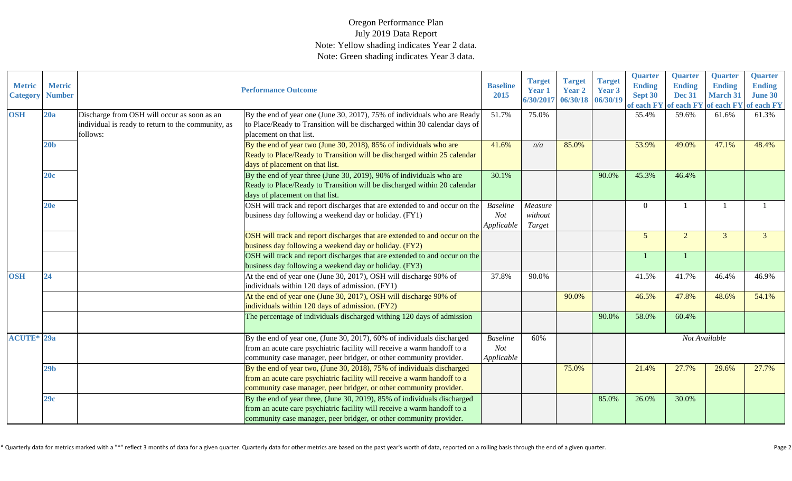| <b>Metric</b><br><b>Category</b> | <b>Metric</b><br><b>Number</b> |                                                                                                               | <b>Performance Outcome</b>                                                                                                                                                                                                 | <b>Baseline</b><br>2015                     | <b>Target</b><br><b>Year 1</b><br>6/30/2017 | <b>Target</b><br><b>Year 2</b><br>06/30/18 06/30/19 | <b>Target</b><br>Year 3 | <b>Quarter</b><br><b>Ending</b><br>Sept 30<br>of each FY | <b>Quarter</b><br><b>Ending</b><br><b>Dec 31</b> | <b>Quarter</b><br><b>Ending</b><br><b>March 31</b> | Quarter<br><b>Ending</b><br><b>June 30</b><br>of each FY of each FY of each FY |
|----------------------------------|--------------------------------|---------------------------------------------------------------------------------------------------------------|----------------------------------------------------------------------------------------------------------------------------------------------------------------------------------------------------------------------------|---------------------------------------------|---------------------------------------------|-----------------------------------------------------|-------------------------|----------------------------------------------------------|--------------------------------------------------|----------------------------------------------------|--------------------------------------------------------------------------------|
| <b>OSH</b>                       | 20a                            | Discharge from OSH will occur as soon as an<br>individual is ready to return to the community, as<br>follows: | By the end of year one (June 30, 2017), 75% of individuals who are Ready<br>to Place/Ready to Transition will be discharged within 30 calendar days of<br>placement on that list.                                          | 51.7%                                       | 75.0%                                       |                                                     |                         | 55.4%                                                    | 59.6%                                            | 61.6%                                              | 61.3%                                                                          |
|                                  | 20 <sub>b</sub>                |                                                                                                               | By the end of year two (June 30, 2018), 85% of individuals who are<br>Ready to Place/Ready to Transition will be discharged within 25 calendar<br>days of placement on that list.                                          | 41.6%                                       | n/a                                         | 85.0%                                               |                         | 53.9%                                                    | 49.0%                                            | 47.1%                                              | 48.4%                                                                          |
|                                  | 20c                            |                                                                                                               | By the end of year three (June 30, 2019), 90% of individuals who are<br>Ready to Place/Ready to Transition will be discharged within 20 calendar<br>days of placement on that list.                                        | 30.1%                                       |                                             |                                                     | 90.0%                   | 45.3%                                                    | 46.4%                                            |                                                    |                                                                                |
|                                  | 20e                            |                                                                                                               | OSH will track and report discharges that are extended to and occur on the<br>business day following a weekend day or holiday. (FY1)                                                                                       | <b>Baseline</b><br><b>Not</b><br>Applicable | Measure<br>without<br>Target                |                                                     |                         | $\Omega$                                                 |                                                  |                                                    |                                                                                |
|                                  |                                |                                                                                                               | OSH will track and report discharges that are extended to and occur on the<br>business day following a weekend day or holiday. (FY2)                                                                                       |                                             |                                             |                                                     |                         | 5                                                        | $\overline{2}$                                   | 3                                                  |                                                                                |
|                                  |                                |                                                                                                               | OSH will track and report discharges that are extended to and occur on the<br>business day following a weekend day or holiday. (FY3)                                                                                       |                                             |                                             |                                                     |                         |                                                          |                                                  |                                                    |                                                                                |
| <b>OSH</b>                       | 24                             |                                                                                                               | At the end of year one (June 30, 2017), OSH will discharge 90% of<br>individuals within 120 days of admission. (FY1)                                                                                                       | 37.8%                                       | 90.0%                                       |                                                     |                         | 41.5%                                                    | 41.7%                                            | 46.4%                                              | 46.9%                                                                          |
|                                  |                                |                                                                                                               | At the end of year one (June 30, 2017), OSH will discharge 90% of<br>individuals within 120 days of admission. (FY2)                                                                                                       |                                             |                                             | 90.0%                                               |                         | 46.5%                                                    | 47.8%                                            | 48.6%                                              | 54.1%                                                                          |
|                                  |                                |                                                                                                               | The percentage of individuals discharged withing 120 days of admission                                                                                                                                                     |                                             |                                             |                                                     | 90.0%                   | 58.0%                                                    | 60.4%                                            |                                                    |                                                                                |
| <b>ACUTE*</b> 29a                |                                |                                                                                                               | By the end of year one, (June 30, 2017), 60% of individuals discharged<br>from an acute care psychiatric facility will receive a warm handoff to a<br>community case manager, peer bridger, or other community provider.   | <b>Baseline</b><br>Not<br>Applicable        | 60%                                         |                                                     |                         |                                                          | Not Available                                    |                                                    |                                                                                |
|                                  | 29 <sub>b</sub>                |                                                                                                               | By the end of year two, (June 30, 2018), 75% of individuals discharged<br>from an acute care psychiatric facility will receive a warm handoff to a<br>community case manager, peer bridger, or other community provider.   |                                             |                                             | 75.0%                                               |                         | 21.4%                                                    | 27.7%                                            | 29.6%                                              | 27.7%                                                                          |
|                                  | 29c                            |                                                                                                               | By the end of year three, (June 30, 2019), 85% of individuals discharged<br>from an acute care psychiatric facility will receive a warm handoff to a<br>community case manager, peer bridger, or other community provider. |                                             |                                             |                                                     | 85.0%                   | 26.0%                                                    | 30.0%                                            |                                                    |                                                                                |

\* Quarterly data for metrics marked with a "\*" reflect 3 months of data for a given quarter. Quarterly data for other metrics are based on the past year's worth of data, reported on a rolling basis through the end of a giv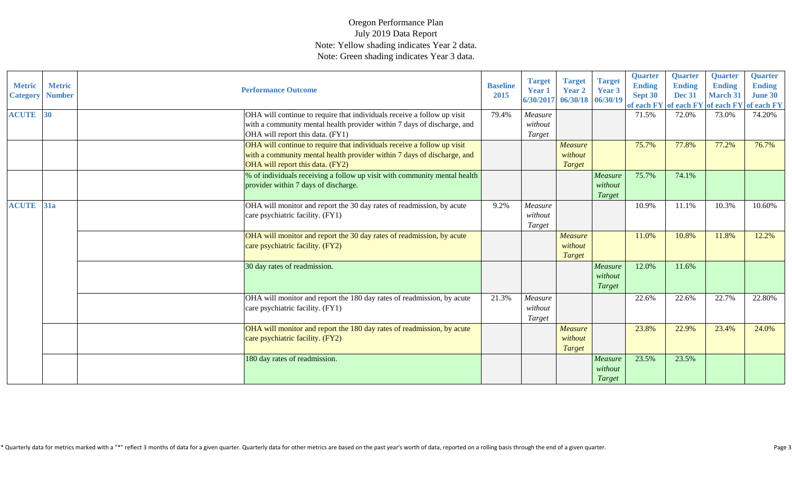| <b>Metric</b><br><b>Category</b> | <b>Metric</b><br><b>Number</b> | <b>Performance Outcome</b>                                                                                                                                                             | <b>Baseline</b><br>2015 | <b>Target</b><br><b>Year 1</b><br>6/30/2017 | <b>Target</b><br><b>Year 2</b><br>06/30/18 06/30/19 | <b>Target</b><br><b>Year 3</b>      | <b>Quarter</b><br><b>Ending</b><br>Sept 30<br>of each FY | <b>Quarter</b><br><b>Ending</b><br><b>Dec 31</b> | <b>Quarter</b><br><b>Ending</b><br><b>March 31</b> | <b>Quarter</b><br><b>Ending</b><br><b>June 30</b><br>of each FY of each FY of each FY |
|----------------------------------|--------------------------------|----------------------------------------------------------------------------------------------------------------------------------------------------------------------------------------|-------------------------|---------------------------------------------|-----------------------------------------------------|-------------------------------------|----------------------------------------------------------|--------------------------------------------------|----------------------------------------------------|---------------------------------------------------------------------------------------|
| <b>ACUTE</b> 30                  |                                | OHA will continue to require that individuals receive a follow up visit<br>with a community mental health provider within 7 days of discharge, and<br>OHA will report this data. (FY1) | 79.4%                   | Measure<br>without<br>Target                |                                                     |                                     | 71.5%                                                    | 72.0%                                            | 73.0%                                              | 74.20%                                                                                |
|                                  |                                | OHA will continue to require that individuals receive a follow up visit<br>with a community mental health provider within 7 days of discharge, and<br>OHA will report this data. (FY2) |                         |                                             | <b>Measure</b><br>without<br><b>Target</b>          |                                     | 75.7%                                                    | 77.8%                                            | 77.2%                                              | 76.7%                                                                                 |
|                                  |                                | % of individuals receiving a follow up visit with community mental health<br>provider within 7 days of discharge.                                                                      |                         |                                             |                                                     | Measure<br>without<br>Target        | 75.7%                                                    | 74.1%                                            |                                                    |                                                                                       |
| <b>ACUTE</b> 31a                 |                                | OHA will monitor and report the 30 day rates of readmission, by acute<br>care psychiatric facility. (FY1)                                                                              | 9.2%                    | Measure<br>without<br>Target                |                                                     |                                     | 10.9%                                                    | 11.1%                                            | 10.3%                                              | 10.60%                                                                                |
|                                  |                                | OHA will monitor and report the 30 day rates of readmission, by acute<br>care psychiatric facility. (FY2)                                                                              |                         |                                             | Measure<br>without<br><b>Target</b>                 |                                     | 11.0%                                                    | 10.8%                                            | 11.8%                                              | 12.2%                                                                                 |
|                                  |                                | 30 day rates of readmission.                                                                                                                                                           |                         |                                             |                                                     | Measure<br>without<br>Target        | 12.0%                                                    | 11.6%                                            |                                                    |                                                                                       |
|                                  |                                | OHA will monitor and report the 180 day rates of readmission, by acute<br>care psychiatric facility. (FY1)                                                                             | 21.3%                   | Measure<br>without<br>Target                |                                                     |                                     | 22.6%                                                    | 22.6%                                            | 22.7%                                              | 22.80%                                                                                |
|                                  |                                | OHA will monitor and report the 180 day rates of readmission, by acute<br>care psychiatric facility. (FY2)                                                                             |                         |                                             | Measure<br>without<br><b>Target</b>                 |                                     | 23.8%                                                    | 22.9%                                            | 23.4%                                              | 24.0%                                                                                 |
|                                  |                                | 180 day rates of readmission.                                                                                                                                                          |                         |                                             |                                                     | Measure<br>without<br><b>Target</b> | 23.5%                                                    | 23.5%                                            |                                                    |                                                                                       |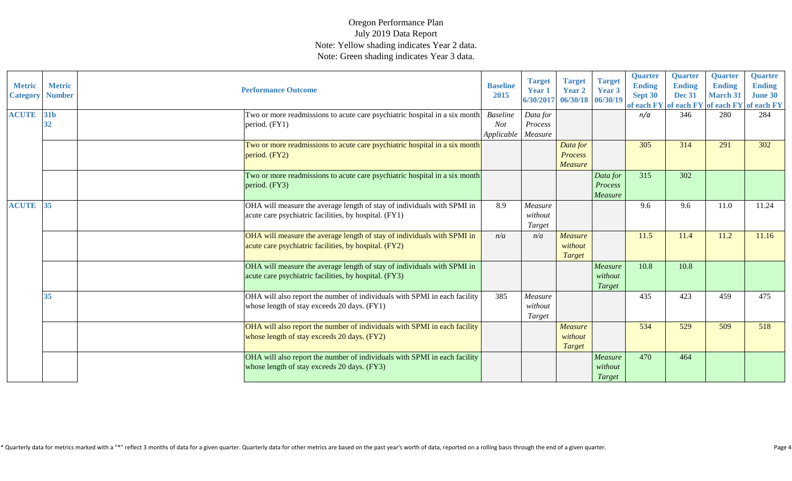| <b>Metric</b><br><b>Category</b> | <b>Metric</b><br><b>Number</b> | <b>Performance Outcome</b>                                                                                                       | <b>Baseline</b><br>2015                     | <b>Target</b><br><b>Year 1</b><br>6/30/2017 | <b>Target</b><br><b>Year 2</b><br>06/30/18 06/30/19 | <b>Target</b><br>Year 3        | <b>Quarter</b><br><b>Ending</b><br>Sept 30<br>of each FY of each FY of each FY of each FY | <b>Quarter</b><br><b>Ending</b><br><b>Dec 31</b> | <b>Quarter</b><br><b>Ending</b><br><b>March 31</b> | Quarter<br><b>Ending</b><br><b>June 30</b> |
|----------------------------------|--------------------------------|----------------------------------------------------------------------------------------------------------------------------------|---------------------------------------------|---------------------------------------------|-----------------------------------------------------|--------------------------------|-------------------------------------------------------------------------------------------|--------------------------------------------------|----------------------------------------------------|--------------------------------------------|
| <b>ACUTE</b>                     | 31b<br>32                      | Two or more readmissions to acute care psychiatric hospital in a six month<br>period. (FY1)                                      | <b>Baseline</b><br><b>Not</b><br>Applicable | Data for<br>Process<br>Measure              |                                                     |                                | n/a                                                                                       | 346                                              | 280                                                | 284                                        |
|                                  |                                | Two or more readmissions to acute care psychiatric hospital in a six month<br>period. (FY2)                                      |                                             |                                             | Data for<br>Process<br><b>Measure</b>               |                                | 305                                                                                       | 314                                              | 291                                                | 302                                        |
|                                  |                                | Two or more readmissions to acute care psychiatric hospital in a six month<br>period. (FY3)                                      |                                             |                                             |                                                     | Data for<br>Process<br>Measure | 315                                                                                       | 302                                              |                                                    |                                            |
| <b>ACUTE</b>                     | 35                             | OHA will measure the average length of stay of individuals with SPMI in<br>acute care psychiatric facilities, by hospital. (FY1) | 8.9                                         | Measure<br>without<br>Target                |                                                     |                                | 9.6                                                                                       | 9.6                                              | 11.0                                               | 11.24                                      |
|                                  |                                | OHA will measure the average length of stay of individuals with SPMI in<br>acute care psychiatric facilities, by hospital. (FY2) | n/a                                         | n/a                                         | <b>Measure</b><br>without<br><b>Target</b>          |                                | 11.5                                                                                      | 11.4                                             | 11.2                                               | 11.16                                      |
|                                  |                                | OHA will measure the average length of stay of individuals with SPMI in<br>acute care psychiatric facilities, by hospital. (FY3) |                                             |                                             |                                                     | Measure<br>without<br>Target   | 10.8                                                                                      | 10.8                                             |                                                    |                                            |
|                                  | 35                             | OHA will also report the number of individuals with SPMI in each facility<br>whose length of stay exceeds 20 days. (FY1)         | 385                                         | Measure<br>without<br>Target                |                                                     |                                | 435                                                                                       | 423                                              | 459                                                | 475                                        |
|                                  |                                | OHA will also report the number of individuals with SPMI in each facility<br>whose length of stay exceeds 20 days. (FY2)         |                                             |                                             | Measure<br>without<br><b>Target</b>                 |                                | 534                                                                                       | 529                                              | 509                                                | 518                                        |
|                                  |                                | OHA will also report the number of individuals with SPMI in each facility<br>whose length of stay exceeds 20 days. (FY3)         |                                             |                                             |                                                     | Measure<br>without<br>Target   | 470                                                                                       | 464                                              |                                                    |                                            |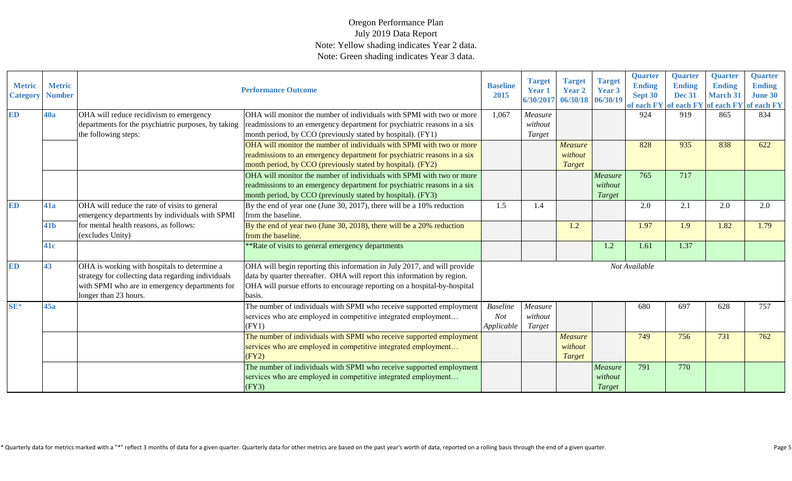| <b>Metric</b><br><b>Category</b> | <b>Metric</b><br><b>Number</b> |                                                                                                                                                                               | <b>Performance Outcome</b>                                                                                                                                                                                                                | <b>Baseline</b><br>2015 | <b>Target</b><br><b>Year 1</b> | <b>Target</b><br><b>Year 2</b><br>6/30/2017 06/30/18 06/30/19 | <b>Target</b><br>Year 3 | <b>Quarter</b><br><b>Ending</b><br>Sept 30 | <b>Quarter</b><br><b>Ending</b><br><b>Dec 31</b><br>of each FY of each FY of each FY of each FY | <b>Quarter</b><br><b>Ending</b><br><b>March 31</b> | <b>Quarter</b><br><b>Ending</b><br><b>June 30</b> |
|----------------------------------|--------------------------------|-------------------------------------------------------------------------------------------------------------------------------------------------------------------------------|-------------------------------------------------------------------------------------------------------------------------------------------------------------------------------------------------------------------------------------------|-------------------------|--------------------------------|---------------------------------------------------------------|-------------------------|--------------------------------------------|-------------------------------------------------------------------------------------------------|----------------------------------------------------|---------------------------------------------------|
| ED                               | <b>40a</b>                     | OHA will reduce recidivism to emergency                                                                                                                                       | OHA will monitor the number of individuals with SPMI with two or more                                                                                                                                                                     | 1,067                   | Measure                        |                                                               |                         | 924                                        | 919                                                                                             | 865                                                | 834                                               |
|                                  |                                | departments for the psychiatric purposes, by taking                                                                                                                           | readmissions to an emergency department for psychiatric reasons in a six                                                                                                                                                                  |                         | without                        |                                                               |                         |                                            |                                                                                                 |                                                    |                                                   |
|                                  |                                | the following steps:                                                                                                                                                          | month period, by CCO (previously stated by hospital). (FY1)                                                                                                                                                                               |                         | Target                         |                                                               |                         |                                            |                                                                                                 |                                                    |                                                   |
|                                  |                                |                                                                                                                                                                               | OHA will monitor the number of individuals with SPMI with two or more                                                                                                                                                                     |                         |                                | <b>Measure</b>                                                |                         | 828                                        | 935                                                                                             | 838                                                | 622                                               |
|                                  |                                |                                                                                                                                                                               | readmissions to an emergency department for psychiatric reasons in a six                                                                                                                                                                  |                         |                                | without                                                       |                         |                                            |                                                                                                 |                                                    |                                                   |
|                                  |                                |                                                                                                                                                                               | month period, by CCO (previously stated by hospital). (FY2)                                                                                                                                                                               |                         |                                | <b>Target</b>                                                 |                         |                                            |                                                                                                 |                                                    |                                                   |
|                                  |                                |                                                                                                                                                                               | OHA will monitor the number of individuals with SPMI with two or more                                                                                                                                                                     |                         |                                |                                                               | Measure                 | 765                                        | 717                                                                                             |                                                    |                                                   |
|                                  |                                |                                                                                                                                                                               | readmissions to an emergency department for psychiatric reasons in a six                                                                                                                                                                  |                         |                                |                                                               | without                 |                                            |                                                                                                 |                                                    |                                                   |
|                                  |                                |                                                                                                                                                                               | month period, by CCO (previously stated by hospital). (FY3)                                                                                                                                                                               |                         |                                |                                                               | <b>Target</b>           |                                            |                                                                                                 |                                                    |                                                   |
| <b>ED</b>                        | 41a                            | OHA will reduce the rate of visits to general<br>emergency departments by individuals with SPMI                                                                               | By the end of year one (June 30, 2017), there will be a 10% reduction<br>from the baseline.                                                                                                                                               | 1.5                     | 1.4                            |                                                               |                         | 2.0                                        | 2.1                                                                                             | 2.0                                                | 2.0                                               |
|                                  | 41 <sub>b</sub>                | for mental health reasons, as follows:                                                                                                                                        | By the end of year two (June 30, 2018), there will be a $20\%$ reduction                                                                                                                                                                  |                         |                                | 1.2                                                           |                         | 1.97                                       | 1.9                                                                                             | 1.82                                               | 1.79                                              |
|                                  |                                | (excludes Unity)                                                                                                                                                              | from the baseline.                                                                                                                                                                                                                        |                         |                                |                                                               |                         |                                            |                                                                                                 |                                                    |                                                   |
|                                  | 41c                            |                                                                                                                                                                               | *Rate of visits to general emergency departments                                                                                                                                                                                          |                         |                                |                                                               | 1.2                     | 1.61                                       | 1.37                                                                                            |                                                    |                                                   |
| <b>ED</b>                        | 43                             | OHA is working with hospitals to determine a<br>strategy for collecting data regarding individuals<br>with SPMI who are in emergency departments for<br>longer than 23 hours. | OHA will begin reporting this information in July 2017, and will provide<br>data by quarter thereafter. OHA will report this information by region.<br>OHA will pursue efforts to encourage reporting on a hospital-by-hospital<br>basis. |                         |                                |                                                               |                         | Not Available                              |                                                                                                 |                                                    |                                                   |
| SE*                              | 45a                            |                                                                                                                                                                               | The number of individuals with SPMI who receive supported employment                                                                                                                                                                      | <b>Baseline</b>         | Measure                        |                                                               |                         | 680                                        | 697                                                                                             | 628                                                | 757                                               |
|                                  |                                |                                                                                                                                                                               | services who are employed in competitive integrated employment                                                                                                                                                                            | <b>Not</b>              | without                        |                                                               |                         |                                            |                                                                                                 |                                                    |                                                   |
|                                  |                                |                                                                                                                                                                               | (FY1)                                                                                                                                                                                                                                     | Applicable              | Target                         |                                                               |                         |                                            |                                                                                                 |                                                    |                                                   |
|                                  |                                |                                                                                                                                                                               | The number of individuals with SPMI who receive supported employment                                                                                                                                                                      |                         |                                | Measure                                                       |                         | 749                                        | 756                                                                                             | 731                                                | 762                                               |
|                                  |                                |                                                                                                                                                                               | services who are employed in competitive integrated employment                                                                                                                                                                            |                         |                                | without                                                       |                         |                                            |                                                                                                 |                                                    |                                                   |
|                                  |                                |                                                                                                                                                                               | (FY2)                                                                                                                                                                                                                                     |                         |                                | Target                                                        |                         |                                            |                                                                                                 |                                                    |                                                   |
|                                  |                                |                                                                                                                                                                               | The number of individuals with SPMI who receive supported employment                                                                                                                                                                      |                         |                                |                                                               | Measure                 | 791                                        | 770                                                                                             |                                                    |                                                   |
|                                  |                                |                                                                                                                                                                               | services who are employed in competitive integrated employment                                                                                                                                                                            |                         |                                |                                                               | without                 |                                            |                                                                                                 |                                                    |                                                   |
|                                  |                                |                                                                                                                                                                               | (FY3)                                                                                                                                                                                                                                     |                         |                                |                                                               | Target                  |                                            |                                                                                                 |                                                    |                                                   |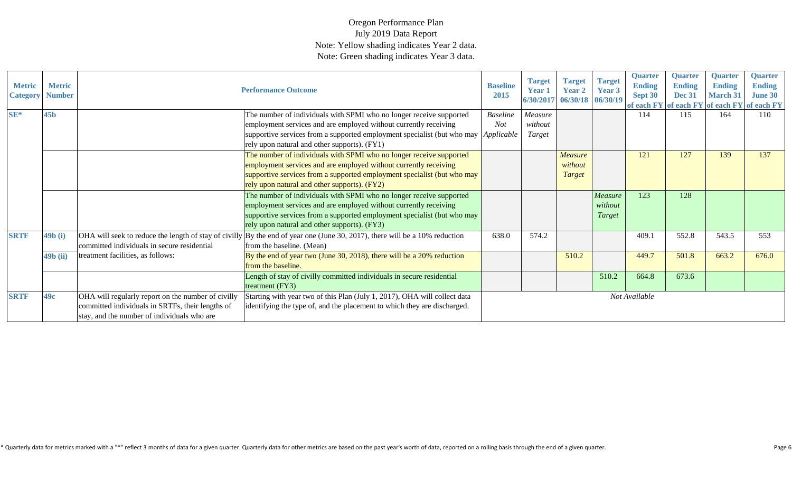| <b>Metric</b><br><b>Category</b> | <b>Metric</b><br><b>Number</b> |                                                                                                                                                       | <b>Performance Outcome</b>                                                                                                                                                                                                                                                           | <b>Baseline</b><br>2015       | <b>Target</b><br>Year 1<br>6/30/2017 | <b>Target</b><br>Year 2<br>06/30/18 06/30/19 | <b>Target</b><br>Year 3             | Quarter<br><b>Ending</b><br>Sept 30 | <b>Quarter</b><br><b>Ending</b><br><b>Dec 31</b> | <b>Quarter</b><br><b>Ending</b><br><b>March 31</b> | <b>Quarter</b><br><b>Ending</b><br><b>June 30</b><br>of each FY of each FY of each FY of each FY |
|----------------------------------|--------------------------------|-------------------------------------------------------------------------------------------------------------------------------------------------------|--------------------------------------------------------------------------------------------------------------------------------------------------------------------------------------------------------------------------------------------------------------------------------------|-------------------------------|--------------------------------------|----------------------------------------------|-------------------------------------|-------------------------------------|--------------------------------------------------|----------------------------------------------------|--------------------------------------------------------------------------------------------------|
| $SE*$                            | 45 <sub>b</sub>                |                                                                                                                                                       | The number of individuals with SPMI who no longer receive supported<br>employment services and are employed without currently receiving<br>supportive services from a supported employment specialist (but who may <i>Applicable</i><br>rely upon natural and other supports). (FY1) | <b>Baseline</b><br><b>Not</b> | Measure<br>without<br>Target         |                                              |                                     | 114                                 | 115                                              | 164                                                | 110                                                                                              |
|                                  |                                |                                                                                                                                                       | The number of individuals with SPMI who no longer receive supported<br>employment services and are employed without currently receiving<br>supportive services from a supported employment specialist (but who may<br>rely upon natural and other supports). (FY2)                   |                               |                                      | <b>Measure</b><br>without<br>Target          |                                     | 121                                 | 127                                              | 139                                                | 137                                                                                              |
|                                  |                                |                                                                                                                                                       | The number of individuals with SPMI who no longer receive supported<br>employment services and are employed without currently receiving<br>supportive services from a supported employment specialist (but who may<br>rely upon natural and other supports). (FY3)                   |                               |                                      |                                              | Measure<br>without<br><b>Target</b> | 123                                 | 128                                              |                                                    |                                                                                                  |
| <b>SRTF</b>                      | 49b(i)                         | committed individuals in secure residential                                                                                                           | OHA will seek to reduce the length of stay of civilly $\vert$ By the end of year one (June 30, 2017), there will be a 10% reduction<br>from the baseline. (Mean)                                                                                                                     | 638.0                         | 574.2                                |                                              |                                     | 409.1                               | 552.8                                            | 543.5                                              | 553                                                                                              |
|                                  | $49b$ (ii)                     | treatment facilities, as follows:                                                                                                                     | By the end of year two (June 30, 2018), there will be a 20% reduction<br>from the baseline.                                                                                                                                                                                          |                               |                                      | 510.2                                        |                                     | 449.7                               | 501.8                                            | 663.2                                              | 676.0                                                                                            |
|                                  |                                |                                                                                                                                                       | Length of stay of civilly committed individuals in secure residential<br>treatment (FY3)                                                                                                                                                                                             |                               |                                      |                                              | 510.2                               | 664.8                               | 673.6                                            |                                                    |                                                                                                  |
| <b>SRTF</b>                      | 49c                            | OHA will regularly report on the number of civilly<br>committed individuals in SRTFs, their lengths of<br>stay, and the number of individuals who are | Starting with year two of this Plan (July 1, 2017), OHA will collect data<br>identifying the type of, and the placement to which they are discharged.                                                                                                                                |                               |                                      |                                              |                                     | Not Available                       |                                                  |                                                    |                                                                                                  |